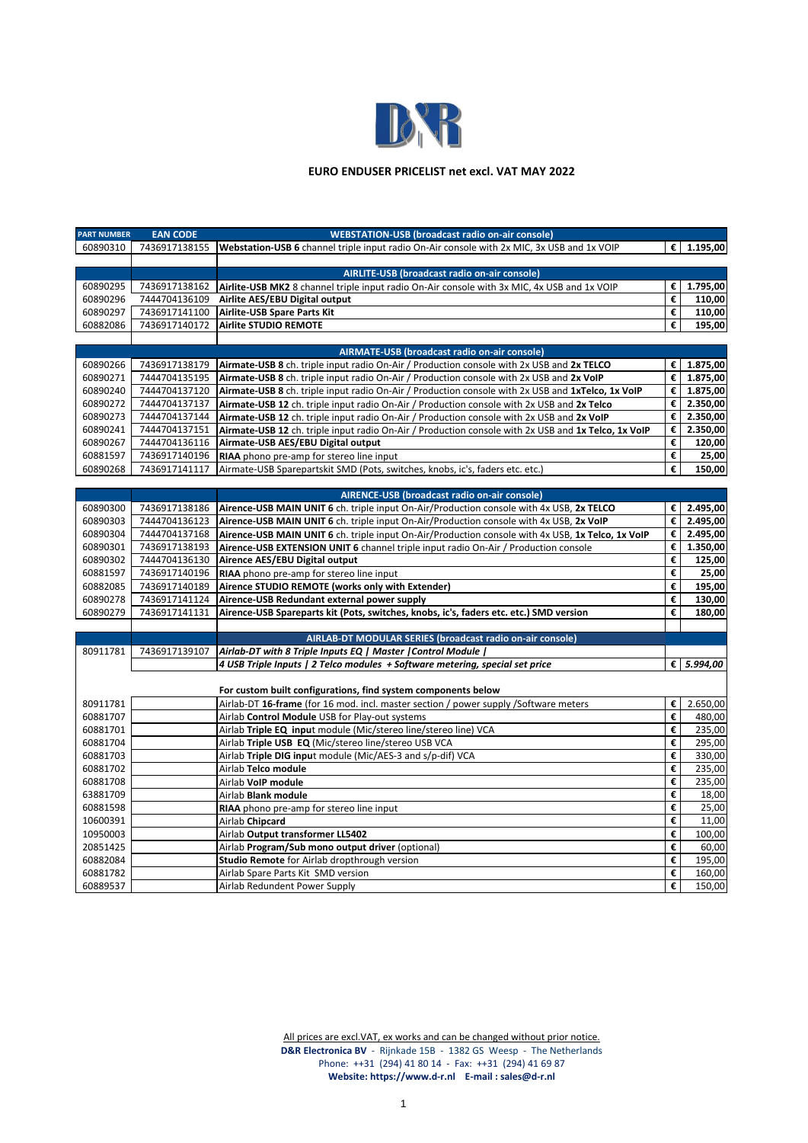

## **EURO ENDUSER PRICELIST net excl. VAT MAY 2022**

| <b>PART NUMBER</b> | <b>EAN CODE</b> | <b>WEBSTATION-USB (broadcast radio on-air console)</b>                                              |   |            |
|--------------------|-----------------|-----------------------------------------------------------------------------------------------------|---|------------|
| 60890310           | 7436917138155   | Webstation-USB 6 channel triple input radio On-Air console with 2x MIC, 3x USB and 1x VOIP          |   | € 1.195,00 |
|                    |                 |                                                                                                     |   |            |
|                    |                 | AIRLITE-USB (broadcast radio on-air console)                                                        |   |            |
| 60890295           | 7436917138162   | Airlite-USB MK2 8 channel triple input radio On-Air console with 3x MIC, 4x USB and 1x VOIP         | € | 1.795,00   |
| 60890296           | 7444704136109   | Airlite AES/EBU Digital output                                                                      | € | 110,00     |
| 60890297           | 7436917141100   | Airlite-USB Spare Parts Kit                                                                         | € | 110,00     |
| 60882086           | 7436917140172   | <b>Airlite STUDIO REMOTE</b>                                                                        | € | 195,00     |
|                    |                 |                                                                                                     |   |            |
|                    |                 | AIRMATE-USB (broadcast radio on-air console)                                                        |   |            |
| 60890266           | 7436917138179   | <b>Airmate-USB 8</b> ch. triple input radio On-Air / Production console with 2x USB and 2x TELCO    | € | 1.875,00   |
| 60890271           | 7444704135195   | Airmate-USB 8 ch. triple input radio On-Air / Production console with 2x USB and 2x VoIP            | € | 1.875,00   |
| 60890240           | 7444704137120   | Airmate-USB 8 ch. triple input radio On-Air / Production console with 2x USB and 1xTelco, 1x VoIP   | € | 1.875,00   |
| 60890272           | 7444704137137   | Airmate-USB 12 ch. triple input radio On-Air / Production console with 2x USB and 2x Telco          | € | 2.350,00   |
| 60890273           | 7444704137144   | Airmate-USB 12 ch. triple input radio On-Air / Production console with 2x USB and 2x VoIP           | € | 2.350,00   |
| 60890241           | 7444704137151   | Airmate-USB 12 ch. triple input radio On-Air / Production console with 2x USB and 1x Telco, 1x VoIP | € | 2.350,00   |
| 60890267           | 7444704136116   | Airmate-USB AES/EBU Digital output                                                                  | € | 120,00     |
| 60881597           | 7436917140196   | RIAA phono pre-amp for stereo line input                                                            | € | 25,00      |
| 60890268           | 7436917141117   | Airmate-USB Sparepartskit SMD (Pots, switches, knobs, ic's, faders etc. etc.)                       | € | 150,00     |
|                    |                 |                                                                                                     |   |            |
|                    |                 | AIRENCE-USB (broadcast radio on-air console)                                                        |   |            |
| 60890300           | 7436917138186   | Airence-USB MAIN UNIT 6 ch. triple input On-Air/Production console with 4x USB, 2x TELCO            | € | 2.495,00   |
| 60890303           | 7444704136123   | Airence-USB MAIN UNIT 6 ch. triple input On-Air/Production console with 4x USB, 2x VoIP             | € | 2.495,00   |
| 60890304           | 7444704137168   | Airence-USB MAIN UNIT 6 ch. triple input On-Air/Production console with 4x USB, 1x Telco, 1x VoIP   | € | 2.495,00   |
| 60890301           | 7436917138193   | Airence-USB EXTENSION UNIT 6 channel triple input radio On-Air / Production console                 | € | 1.350,00   |
| 60890302           | 7444704136130   | Airence AES/EBU Digital output                                                                      | € | 125,00     |
| 60881597           | 7436917140196   | RIAA phono pre-amp for stereo line input                                                            | € | 25,00      |
| 60882085           | 7436917140189   | Airence STUDIO REMOTE (works only with Extender)                                                    | € | 195,00     |
| 60890278           | 7436917141124   | Airence-USB Redundant external power supply                                                         | € | 130,00     |
| 60890279           | 7436917141131   | Airence-USB Spareparts kit (Pots, switches, knobs, ic's, faders etc. etc.) SMD version              | € | 180,00     |
|                    |                 |                                                                                                     |   |            |
|                    |                 | AIRLAB-DT MODULAR SERIES (broadcast radio on-air console)                                           |   |            |
| 80911781           | 7436917139107   | Airlab-DT with 8 Triple Inputs EQ   Master   Control Module                                         |   |            |
|                    |                 | 4 USB Triple Inputs   2 Telco modules + Software metering, special set price                        |   | € 5.994,00 |
|                    |                 |                                                                                                     |   |            |
|                    |                 | For custom built configurations, find system components below                                       |   |            |
| 80911781           |                 | Airlab-DT 16-frame (for 16 mod. incl. master section / power supply /Software meters                | € | 2.650,00   |
| 60881707           |                 | Airlab Control Module USB for Play-out systems                                                      | € | 480,00     |
| 60881701           |                 | Airlab Triple EQ input module (Mic/stereo line/stereo line) VCA                                     | € | 235,00     |
| 60881704           |                 | Airlab Triple USB EQ (Mic/stereo line/stereo USB VCA                                                | € | 295,00     |
| 60881703           |                 | Airlab Triple DIG input module (Mic/AES-3 and s/p-dif) VCA                                          | € | 330,00     |
| 60881702           |                 | Airlab Telco module                                                                                 | € | 235,00     |
| 60881708           |                 | Airlab VoIP module                                                                                  | € | 235,00     |
| 63881709           |                 | Airlab Blank module                                                                                 | € | 18,00      |
| 60881598           |                 | RIAA phono pre-amp for stereo line input                                                            | € | 25,00      |
| 10600391           |                 | Airlab Chipcard                                                                                     | € | 11,00      |
| 10950003           |                 | Airlab Output transformer LL5402                                                                    | € | 100,00     |
| 20851425           |                 | Airlab Program/Sub mono output driver (optional)                                                    | € | 60,00      |
| 60882084           |                 | Studio Remote for Airlab dropthrough version                                                        | € | 195,00     |
| 60881782           |                 | Airlab Spare Parts Kit SMD version                                                                  | € | 160,00     |
| 60889537           |                 | Airlab Redundent Power Supply                                                                       | € | 150,00     |